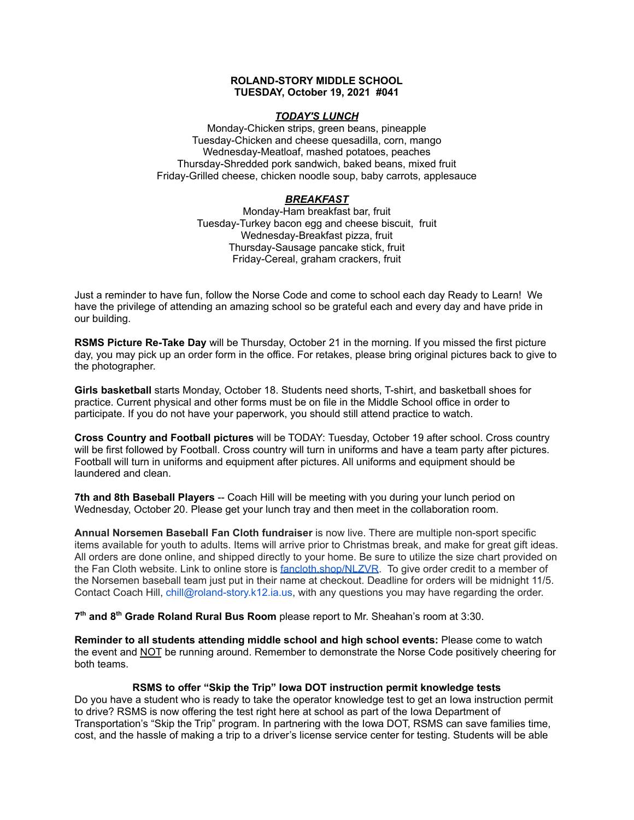### **ROLAND-STORY MIDDLE SCHOOL TUESDAY, October 19, 2021 #041**

### *TODAY'S LUNCH*

Monday-Chicken strips, green beans, pineapple Tuesday-Chicken and cheese quesadilla, corn, mango Wednesday-Meatloaf, mashed potatoes, peaches Thursday-Shredded pork sandwich, baked beans, mixed fruit Friday-Grilled cheese, chicken noodle soup, baby carrots, applesauce

## *BREAKFAST*

Monday-Ham breakfast bar, fruit Tuesday-Turkey bacon egg and cheese biscuit, fruit Wednesday-Breakfast pizza, fruit Thursday-Sausage pancake stick, fruit Friday-Cereal, graham crackers, fruit

Just a reminder to have fun, follow the Norse Code and come to school each day Ready to Learn! We have the privilege of attending an amazing school so be grateful each and every day and have pride in our building.

**RSMS Picture Re-Take Day** will be Thursday, October 21 in the morning. If you missed the first picture day, you may pick up an order form in the office. For retakes, please bring original pictures back to give to the photographer.

**Girls basketball** starts Monday, October 18. Students need shorts, T-shirt, and basketball shoes for practice. Current physical and other forms must be on file in the Middle School office in order to participate. If you do not have your paperwork, you should still attend practice to watch.

**Cross Country and Football pictures** will be TODAY: Tuesday, October 19 after school. Cross country will be first followed by Football. Cross country will turn in uniforms and have a team party after pictures. Football will turn in uniforms and equipment after pictures. All uniforms and equipment should be laundered and clean.

**7th and 8th Baseball Players** -- Coach Hill will be meeting with you during your lunch period on Wednesday, October 20. Please get your lunch tray and then meet in the collaboration room.

**Annual Norsemen Baseball Fan Cloth fundraiser** is now live. There are multiple non-sport specific items available for youth to adults. Items will arrive prior to Christmas break, and make for great gift ideas. All orders are done online, and shipped directly to your home. Be sure to utilize the size chart provided on the Fan Cloth website. Link to online store is [fancloth.shop/NLZVR.](http://fancloth.shop/NLZVR) To give order credit to a member of the Norsemen baseball team just put in their name at checkout. Deadline for orders will be midnight 11/5. Contact Coach Hill, chill@roland-story.k12.ia.us, with any questions you may have regarding the order.

**7 th and 8 th Grade Roland Rural Bus Room** please report to Mr. Sheahan's room at 3:30.

**Reminder to all students attending middle school and high school events:** Please come to watch the event and NOT be running around. Remember to demonstrate the Norse Code positively cheering for both teams.

### **RSMS to offer "Skip the Trip" Iowa DOT instruction permit knowledge tests**

Do you have a student who is ready to take the operator knowledge test to get an Iowa instruction permit to drive? RSMS is now offering the test right here at school as part of the Iowa Department of Transportation's "Skip the Trip" program. In partnering with the Iowa DOT, RSMS can save families time, cost, and the hassle of making a trip to a driver's license service center for testing. Students will be able